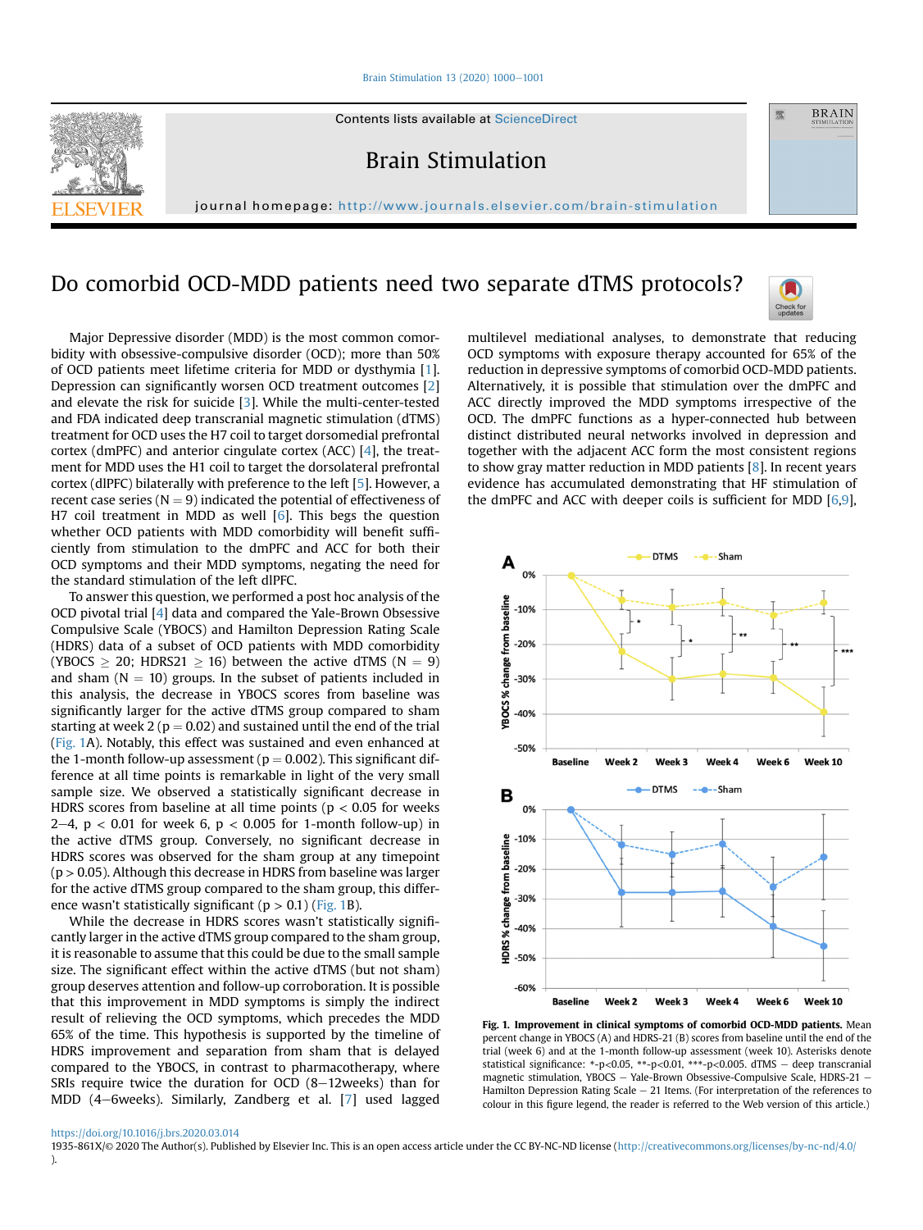[Brain Stimulation 13 \(2020\) 1000](https://doi.org/10.1016/j.brs.2020.03.014)-[1001](https://doi.org/10.1016/j.brs.2020.03.014)



Contents lists available at ScienceDirect

Brain Stimulation

journal homepage: <http://www.journals.elsevier.com/brain-stimulation>

## Do comorbid OCD-MDD patients need two separate dTMS protocols?



靈

**BRAIN** 

Major Depressive disorder (MDD) is the most common comorbidity with obsessive-compulsive disorder (OCD); more than 50% of OCD patients meet lifetime criteria for MDD or dysthymia [\[1](#page-1-0)]. Depression can significantly worsen OCD treatment outcomes [\[2\]](#page-1-1) and elevate the risk for suicide [\[3\]](#page-1-2). While the multi-center-tested and FDA indicated deep transcranial magnetic stimulation (dTMS) treatment for OCD uses the H7 coil to target dorsomedial prefrontal cortex (dmPFC) and anterior cingulate cortex (ACC) [\[4\]](#page-1-3), the treatment for MDD uses the H1 coil to target the dorsolateral prefrontal cortex (dlPFC) bilaterally with preference to the left [[5](#page-1-4)]. However, a recent case series ( $N = 9$ ) indicated the potential of effectiveness of H7 coil treatment in MDD as well [\[6\]](#page-1-5). This begs the question whether OCD patients with MDD comorbidity will benefit sufficiently from stimulation to the dmPFC and ACC for both their OCD symptoms and their MDD symptoms, negating the need for the standard stimulation of the left dlPFC.

To answer this question, we performed a post hoc analysis of the OCD pivotal trial [[4\]](#page-1-3) data and compared the Yale-Brown Obsessive Compulsive Scale (YBOCS) and Hamilton Depression Rating Scale (HDRS) data of a subset of OCD patients with MDD comorbidity (YBOCS  $\geq 20$ ; HDRS21  $\geq 16$ ) between the active dTMS (N  $= 9$ ) and sham  $(N = 10)$  groups. In the subset of patients included in this analysis, the decrease in YBOCS scores from baseline was significantly larger for the active dTMS group compared to sham starting at week 2 ( $p = 0.02$ ) and sustained until the end of the trial ([Fig. 1A](#page-0-0)). Notably, this effect was sustained and even enhanced at the 1-month follow-up assessment ( $p = 0.002$ ). This significant difference at all time points is remarkable in light of the very small sample size. We observed a statistically significant decrease in HDRS scores from baseline at all time points ( $p < 0.05$  for weeks 2–4,  $p < 0.01$  for week 6,  $p < 0.005$  for 1-month follow-up) in the active dTMS group. Conversely, no significant decrease in HDRS scores was observed for the sham group at any timepoint  $(p > 0.05)$ . Although this decrease in HDRS from baseline was larger for the active dTMS group compared to the sham group, this difference wasn't statistically significant ( $p > 0.1$ ) [\(Fig. 1B](#page-0-0)).

While the decrease in HDRS scores wasn't statistically significantly larger in the active dTMS group compared to the sham group, it is reasonable to assume that this could be due to the small sample size. The significant effect within the active dTMS (but not sham) group deserves attention and follow-up corroboration. It is possible that this improvement in MDD symptoms is simply the indirect result of relieving the OCD symptoms, which precedes the MDD 65% of the time. This hypothesis is supported by the timeline of HDRS improvement and separation from sham that is delayed compared to the YBOCS, in contrast to pharmacotherapy, where SRIs require twice the duration for OCD  $(8-12)$ weeks) than for MDD (4-6weeks). Similarly, Zandberg et al. [[7](#page-1-6)] used lagged

multilevel mediational analyses, to demonstrate that reducing OCD symptoms with exposure therapy accounted for 65% of the reduction in depressive symptoms of comorbid OCD-MDD patients. Alternatively, it is possible that stimulation over the dmPFC and ACC directly improved the MDD symptoms irrespective of the OCD. The dmPFC functions as a hyper-connected hub between distinct distributed neural networks involved in depression and together with the adjacent ACC form the most consistent regions to show gray matter reduction in MDD patients [[8](#page-1-7)]. In recent years evidence has accumulated demonstrating that HF stimulation of the dmPFC and ACC with deeper coils is sufficient for MDD [[6](#page-1-5)[,9](#page-1-8)],

<span id="page-0-0"></span>

Fig. 1. Improvement in clinical symptoms of comorbid OCD-MDD patients. Mean percent change in YBOCS (A) and HDRS-21 (B) scores from baseline until the end of the trial (week 6) and at the 1-month follow-up assessment (week 10). Asterisks denote statistical significance: \*-p<0.05, \*\*-p<0.01, \*\*\*-p<0.005. dTMS - deep transcranial magnetic stimulation, YBOCS - Yale-Brown Obsessive-Compulsive Scale, HDRS-21 -Hamilton Depression Rating Scale  $-21$  Items. (For interpretation of the references to colour in this figure legend, the reader is referred to the Web version of this article.)

1935-861X/© 2020 The Author(s). Published by Elsevier Inc. This is an open access article under the CC BY-NC-ND license (<http://creativecommons.org/licenses/by-nc-nd/4.0/> ).